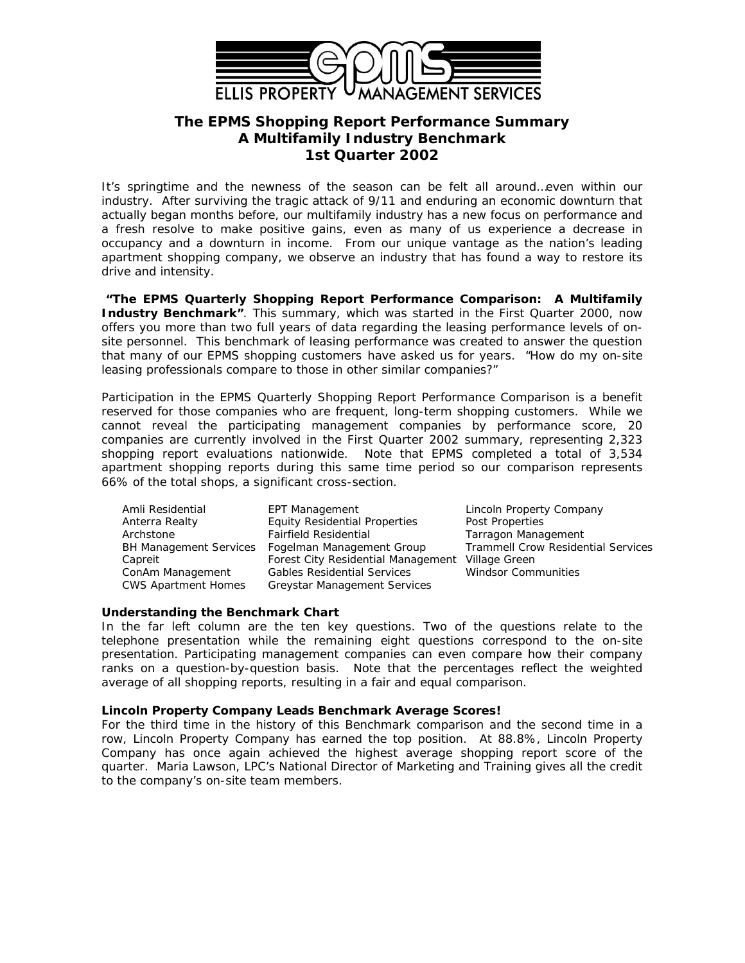

# **The EPMS** *Shopping Report Performance Summary* **A Multifamily Industry Benchmark 1st Quarter 2002**

It's springtime and the newness of the season can be felt all around…even within our industry. After surviving the tragic attack of 9/11 and enduring an economic downturn that actually began months before, our multifamily industry has a new focus on performance and a fresh resolve to make positive gains, even as many of us experience a decrease in occupancy and a downturn in income. From our unique vantage as the nation's leading apartment shopping company, we observe an industry that has found a way to restore its drive and intensity.

**"The** *EPMS Quarterly Shopping Report Performance Comparison: A Multifamily* **Industry Benchmark**". This summary, which was started in the First Quarter 2000, now offers you more than two full years of data regarding the leasing performance levels of onsite personnel. This benchmark of leasing performance was created to answer the question that many of our EPMS shopping customers have asked us for years. "*How do my on-site leasing professionals compare to those in other similar companies?"*

Participation in the *EPMS Quarterly Shopping Report Performance Comparison* is a benefit reserved for those companies who are frequent, long-term shopping customers. While we cannot reveal the participating management companies by performance score, 20 companies are currently involved in the First Quarter 2002 summary, representing 2,323 shopping report evaluations nationwide. Note that EPMS completed a total of 3,534 apartment shopping reports during this same time period so our comparison represents 66% of the total shops, a significant cross-section.

Amli Residential **EPT Management Lincoln Property Company** Anterra Realty **Equity Residential Properties** Post Properties Archstone Fairfield Residential Tarragon Management BH Management Services Fogelman Management Group Trammell Crow Residential Services Capreit **Forest City Residential Management Village Green** ConAm Management Gables Residential Services Windsor Communities CWS Apartment Homes Greystar Management Services

## **Understanding the Benchmark Chart**

In the far left column are the ten key questions. Two of the questions relate to the telephone presentation while the remaining eight questions correspond to the on-site presentation. Participating management companies can even compare how their company ranks on a question-by-question basis. Note that the percentages reflect the weighted average of all shopping reports, resulting in a fair and equal comparison.

#### **Lincoln Property Company Leads Benchmark Average Scores!**

For the third time in the history of this Benchmark comparison and the second time in a row, Lincoln Property Company has earned the top position. At 88.8%, Lincoln Property Company has once again achieved the highest average shopping report score of the quarter. Maria Lawson, LPC's National Director of Marketing and Training gives all the credit to the company's on-site team members.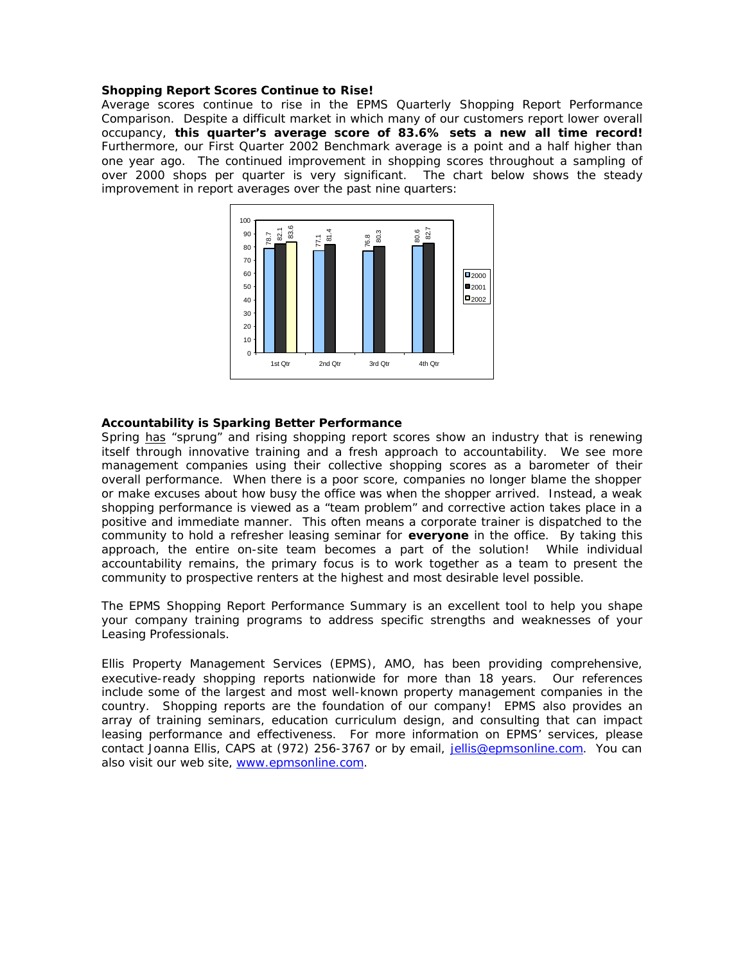#### **Shopping Report Scores Continue to Rise!**

Average scores continue to rise in the *EPMS Quarterly Shopping Report Performance Comparison.* Despite a difficult market in which many of our customers report lower overall occupancy, **this quarter's average score of 83.6% sets a new all time record!**  Furthermore, our First Quarter 2002 Benchmark average is a point and a half higher than one year ago. The continued improvement in shopping scores throughout a sampling of over 2000 shops per quarter is very significant. The chart below shows the steady improvement in report averages over the past nine quarters:



### **Accountability is Sparking Better Performance**

Spring has "sprung" and rising shopping report scores show an industry that is renewing itself through innovative training and a fresh approach to *accountability*. We see more management companies using their collective shopping scores as a barometer of their overall performance. When there is a poor score, companies no longer blame the shopper or make excuses about how busy the office was when the shopper arrived. Instead, a weak shopping performance is viewed as a "team problem" and corrective action takes place in a positive and immediate manner. This often means a corporate trainer is dispatched to the community to hold a refresher leasing seminar for **everyone** in the office. By taking this approach, the entire on-site team becomes a part of the solution! While individual accountability remains, the primary focus is to work together as a team to present the community to prospective renters at the highest and most desirable level possible.

The *EPMS Shopping Report Performance Summary* is an excellent tool to help you shape your company training programs to address specific strengths and weaknesses of your Leasing Professionals.

Ellis Property Management Services (EPMS), AMO, has been providing comprehensive, executive-ready shopping reports nationwide for more than 18 years. Our references include some of the largest and most well-known property management companies in the country. Shopping reports are the foundation of our company! EPMS also provides an array of training seminars, education curriculum design, and consulting that can impact leasing performance and effectiveness. For more information on EPMS' services, please contact Joanna Ellis, CAPS at (972) 256-3767 or by email, jellis@epmsonline.com. You can also visit our web site, www.epmsonline.com.